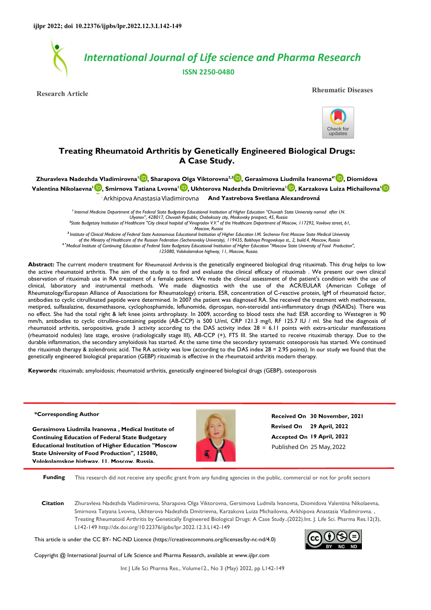

**Research Article Rheumatic Diseases**



# **Treating Rheumatoid Arthritis by Genetically Engineered Biological Drugs: A Case Study.**

**Zhuravleva Nadezhda Vladimirov[na](https://orcid.org/0000-0001-6470-7724)<sup>1</sup> , Sharapova Olga Viktorovna2,3 [,](https://orcid.org/0000-0003-0384-1705) Gerasimova Liudmila Ivanovna4\* [,](https://orcid.org/0000-0002-3976-0934) Diomidova Valentina Nikolaevna<sup>1</sup> [,](https://orcid.org/0000-0002-3627-7971) Smirnova Tatiana Lvovna<sup>1</sup> [,](https://orcid.org/0000-0002-8224-1515) Ukhterova Nadezhda Dmitrievna<sup>1</sup> [,](https://orcid.org/0000-0003-1808-6845) Karzakova Luiza Michailovna[1](https://orcid.org/0000-0002-5899-6352)** Arkhipova Anastasia Vladimirovna **And Yastrebova Svetlana Alexandrovna** 

<sup>1</sup> Internal Medicine Department of the Federal State Budgetary Educational Institution of Higher Education "Chuvash State University named after I.N. *Ulyanov", 428017, Chuvash Republic, Cheboksary city, Moskovsky prospect, 45, Russia*  <sup>2</sup> State Budgetary Institution of Healthcare "City clinical hospital of Vinogradov V.V." of the Healthcare Department of Moscow, 117292, Vavilova street, 61, *Moscow, Russia <sup>3</sup>Institute of Clinical Medicine of Federal State Autonomous Educational Institution of Higher Education I.M. Sechenov First Moscow State Medical University* 

of the Ministry of Healthcare of the Russian Federation (Sechenovskiy University), I 19435, Bolshaya Pirogovskaya st., 2, build.4, Moscow, Russia<br>Fallend Institute of Continuing Education of Federal State Budgetary Educati *125080, Volokolamskoe highway, 11, Moscow, Russia.* 

**Abstract:** The current modern treatment for Rheumatoid Arthritis is the genetically engineered biological drug rituximab. This drug helps to low the active rheumatoid arthritis. The aim of the study is to find and evaluate the clinical efficacy of rituximab . We present our own clinical observation of rituximab use in RA treatment of a female patient. We made the clinical assessment of the patient's condition with the use of clinical, laboratory and instrumental methods. We made diagnostics with the use of the ACR/EULAR (American College of Rheumatology/European Alliance of Associations for Rheumatology) criteria. ESR, concentration of C-reactive protein, IgM of rheumatoid factor, antibodies to cyclic citrullinated peptide were determined. In 2007 the patient was diagnosed RA. She received the treatment with methotrexate, metipred, sulfasalazine, dexamethasone, cyclophosphamide, leflunomide, diprospan, non-steroidal anti-inflammatory drugs (NSAIDs). There was no effect. She had the total right & left knee joints arthroplasty. In 2009, according to blood tests she had: ESR according to Westegren is 90 mm/h, antibodies to cyclic citrulline-containing peptide (AB-CCP) is 500 U/ml, CRP 121.3 mg/l, RF 125.7 IU / ml. She had the diagnosis of rheumatoid arthritis, seropositive, grade 3 activity according to the DAS activity index  $28 = 6.11$  points with extra-articular manifestations (rheumatoid nodules) late stage, erosive (radiologically stage III), AB-CCP (+), FTS III. She started to receive rituximab therapy. Due to the durable inflammation, the secondary amyloidosis has started. At the same time the secondary systematic osteoporosis has started. We continued the rituximab therapy & zolendronic acid. The RA activity was low (according to the DAS index 28 = 2.95 points). In our study we found that the genetically engineered biological preparation (GEBP) rituximab is effective in the rheumatoid arthritis modern therapy.

**Keywords:** rituximab; amyloidosis; rheumatoid arthritis, genetically engineered biological drugs (GEBP), osteoporosis

#### **\*Corresponding Author**

**Gerasimova Liudmila Ivanovna , Medical Institute of Continuing Education of Federal State Budgetary Educational Institution of Higher Education "Moscow State University of Food Production", 125080, Volokolamskoe highway, 11, Moscow, Russia.**



**Revised On 29 April, 2022 Accepted On 19 April, 2022 Received On 30 November, 2021** Published On 25 May,2022

**Funding** This research did not receive any specific grant from any funding agencies in the public, commercial or not for profit sectors

**Citation** Zhuravleva Nadezhda Vladimirovna, Sharapova Olga Viktorovna, Gersimova Ludmila Ivanovna, Diomidova Valentina Nikolaevna, Smirnova Tatyana Lvovna, Ukhterova Nadezhda Dmitrievna, Karzakova Luiza Michailovna, Arkhipova Anastasia Vladimirovna. , Treating Rheumatoid Arthritis by Genetically Engineered Biological Drugs: A Case Study..(2022).Int. J. Life Sci. Pharma Res.12(3), L142-149 http://dx.doi.org/10.22376/ijpbs/lpr.2022.12.3.L142-149

This article is under the CC BY- NC-ND Licence (https://creativecommons.org/licenses/by-nc-nd/4.0)



Copyright @ International Journal of Life Science and Pharma Research, available at www.ijlpr.com

Int J Life Sci Pharma Res., Volume12., No 3 (May) 2022, pp L142-149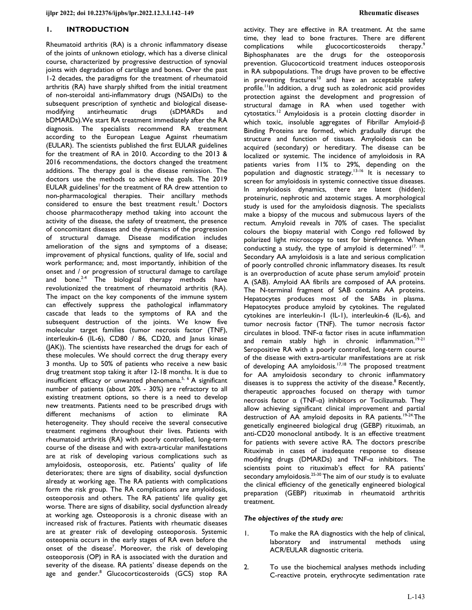### **1. INTRODUCTION**

Rheumatoid arthritis (RA) is a chronic inflammatory disease of the joints of unknown etiology, which has a diverse clinical course, characterized by progressive destruction of synovial joints with degradation of cartilage and bones. Over the past 1-2 decades, the paradigms for the treatment of rheumatoid arthritis (RA) have sharply shifted from the initial treatment of non-steroidal anti-inflammatory drugs (NSAIDs) to the subsequent prescription of synthetic and biological diseasemodifying antirheumatic drugs (sDMARDs and bDMARDs).We start RA treatment immediately after the RA diagnosis. The specialists recommend RA treatment according to the European League Against rheumatism (EULAR). The scientists published the first EULAR guidelines for the treatment of RA in 2010. According to the 2013 & 2016 recommendations, the doctors changed the treatment additions. The therapy goal is the disease remission. The doctors use the methods to achieve the goals. The 2019 EULAR guidelines<sup>1</sup> for the treatment of RA drew attention to non-pharmacological therapies. Their ancillary methods considered to ensure the best treatment result.<sup>1</sup> Doctors choose pharmacotherapy method taking into account the activity of the disease, the safety of treatment, the presence of concomitant diseases and the dynamics of the progression of structural damage. Disease modification includes amelioration of the signs and symptoms of a disease; improvement of physical functions, quality of life, social and work performance; and, most importantly, inhibition of the onset and / or progression of structural damage to cartilage and bone. $2-4$  The biological therapy methods have revolutionized the treatment of rheumatoid arthritis (RA). The impact on the key components of the immune system can effectively suppress the pathological inflammatory cascade that leads to the symptoms of RA and the subsequent destruction of the joints. We know five molecular target families (tumor necrosis factor (TNF), interleukin-6 (IL-6), CD80 / 86, CD20, and Janus kinase (JAK)). The scientists have researched the drugs for each of these molecules. We should correct the drug therapy every 3 months. Up to 50% of patients who receive a new basic drug treatment stop taking it after 12-18 months. It is due to insufficient efficacy or unwanted phenomena.<sup>5, 6</sup> A significant number of patients (about 20% - 30%) are refractory to all existing treatment options, so there is a need to develop new treatments. Patients need to be prescribed drugs with different mechanisms of action to eliminate RA heterogeneity. They should receive the several consecutive treatment regimens throughout their lives. Patients with rheumatoid arthritis (RA) with poorly controlled, long-term course of the disease and with extra-articular manifestations are at risk of developing various complications such as amyloidosis, osteoporosis, etc. Patients' quality of life deteriorates; there are signs of disability, social dysfunction already at working age. The RA patients with complications form the risk group. The RA complications are amyloidosis, osteoporosis and others. The RA patients' life quality get worse. There are signs of disability, social dysfunction already at working age. Osteoporosis is a chronic disease with an increased risk of fractures. Patients with rheumatic diseases are at greater risk of developing osteoporosis. Systemic osteopenia occurs in the early stages of RA even before the onset of the disease<sup>7</sup>. Moreover, the risk of developing osteoporosis (OP) in RA is associated with the duration and severity of the disease. RA patients' disease depends on the age and gender.<sup>8</sup> Glucocorticosteroids (GCS) stop RA

activity. They are effective in RA treatment. At the same time, they lead to bone fractures. There are different complications while glucocorticosteroids therapy.<sup>9</sup> Biphosphanates are the drugs for the osteoporosis prevention. Glucocorticoid treatment induces osteoporosis in RA subpopulations. The drugs have proven to be effective in preventing fractures<sup>10</sup> and have an acceptable safety profile.<sup>11</sup>In addition, a drug such as zoledronic acid provides protection against the development and progression of structural damage in RA when used together with cytostatics.<sup>12</sup>Amyloidosis is a protein clotting disorder in which toxic, insoluble aggregates of Fibrillar Amyloid-β Binding Proteins are formed, which gradually disrupt the structure and function of tissues. Amyloidosis can be acquired (secondary) or hereditary. The disease can be localized or systemic. The incidence of amyloidosis in RA patients varies from 11% to 29%, depending on the population and diagnostic strategy.13-16 It is necessary to screen for amyloidosis in systemic connective tissue diseases. In amyloidosis dynamics, there are latent (hidden); proteinuric, nephrotic and azotemic stages. A morphological study is used for the amyloidosis diagnosis. The specialists make a biopsy of the mucous and submucous layers of the rectum. Amyloid reveals in 70% of cases. The specialist colours the biopsy material with Congo red followed by polarized light microscopy to test for birefringence. When conducting a study, the type of amyloid is determined<sup>17, 18</sup>. Secondary AA amyloidosis is a late and serious complication of poorly controlled chronic inflammatory diseases. Its result is an overproduction of acute phase serum amyloid' protein A (SAB). Amyloid AA fibrils are composed of AA proteins. The N-terminal fragment of SAB contains AA proteins. Hepatocytes produces most of the SABs in plasma. Hepatocytes produce amyloid by cytokines. The regulated cytokines are interleukin-1 (IL-1), interleukin-6 (IL-6), and tumor necrosis factor (TNF). The tumor necrosis factor circulates in blood. TNF-α factor rises in acute inflammation and remain stably high in chronic inflammation.<sup>19-21</sup> Seropositive RA with a poorly controlled, long-term course of the disease with extra-articular manifestations are at risk of developing AA amyloidosis.17,18 The proposed treatment for AA amyloidosis secondary to chronic inflammatory diseases is to suppress the activity of the disease.<sup>8</sup> Recently, therapeutic approaches focused on therapy with tumor necrosis factor  $\alpha$  (TNF- $\alpha$ ) inhibitors or Tocilizumab. They allow achieving significant clinical improvement and partial destruction of AA amyloid deposits in RA patients.<sup>19-24</sup>. The genetically engineered biological drug (GEBP) rituximab, an anti-CD20 monoclonal antibody. It is an effective treatment for patients with severe active RA. The doctors prescribe Rituximab in cases of inadequate response to disease modifying drugs (DMARDs) and TNF-α inhibitors. The scientists point to rituximab's effect for RA patients' secondary amyloidosis.<sup>25-30</sup> The aim of our study is to evaluate the clinical efficiency of the genetically engineered biological preparation (GEBP) rituximab in rheumatoid arthritis treatment.

#### *The objectives of the study are:*

- 1. To make the RA diagnostics with the help of clinical, laboratory and instrumental methods using ACR/EULAR diagnostic criteria.
- 2. To use the biochemical analyses methods including C-reactive protein, erythrocyte sedimentation rate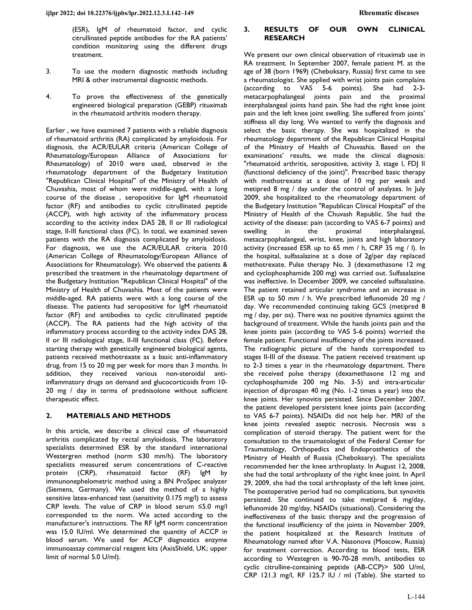(ESR), IgM of rheumatoid factor, and cyclic citrullinated peptide antibodies for the RA patients' condition monitoring using the different drugs treatment.

- 3. To use the modern diagnostic methods including MRI & other instrumental diagnostic methods.
- 4. To prove the effectiveness of the genetically engineered biological preparation (GEBP) rituximab in the rheumatoid arthritis modern therapy.

Earlier , we have examined 7 patients with a reliable diagnosis of rheumatoid arthritis (RA) complicated by amyloidosis. For diagnosis, the ACR/EULAR criteria (American College of Rheumatology/European Alliance of Associations for Rheumatology) of 2010 were used, observed in the rheumatology department of the Budgetary Institution "Republican Clinical Hospital" of the Ministry of Health of Chuvashia, most of whom were middle-aged, with a long course of the disease , seropositive for IgM rheumatoid factor (RF) and antibodies to cyclic citrullinated peptide (ACCP), with high activity of the inflammatory process according to the activity index DAS 28, II or III radiological stage, II-III functional class (FC). In total, we examined seven patients with the RA diagnosis complicated by amyloidosis. For diagnosis, we use the ACR/EULAR criteria 2010 (American College of Rheumatology/European Alliance of Associations for Rheumatology). We observed the patients & prescribed the treatment in the rheumatology department of the Budgetary Institution "Republican Clinical Hospital" of the Ministry of Health of Chuvashia. Most of the patients were middle-aged. RA patients were with a long course of the disease. The patients had seropositive for IgM rheumatoid factor (RF) and antibodies to cyclic citrullinated peptide (ACCP). The RA patients had the high activity of the inflammatory process according to the activity index DAS 28, II or III radiological stage, II-III functional class (FC). Before starting therapy with genetically engineered biological agents, patients received methotrexate as a basic anti-inflammatory drug, from 15 to 20 mg per week for more than 3 months. In addition, they received various non-steroidal antiinflammatory drugs on demand and glucocorticoids from 10- 20 mg / day in terms of prednisolone without sufficient therapeutic effect.

## **2. MATERIALS AND METHODS**

In this article, we describe a clinical case of rheumatoid arthritis complicated by rectal amyloidosis. The laboratory specialists determined ESR by the standard international Westergren method (norm ≤30 mm/h). The laboratory specialists measured serum concentrations of C-reactive protein (CRP), rheumatoid factor (RF) IgM by immunonephelometric method using a BN ProSpec analyzer (Siemens, Germany). We used the method of a highly sensitive latex-enhanced test (sensitivity 0.175 mg/l) to assess CRP levels. The value of CRP in blood serum ≤5.0 mg/l corresponded to the norm. We acted according to the manufacturer's instructions. The RF IgM norm concentration was 15.0 IU/ml. We determined the quantity of ACCP in blood serum. We used for ACCP diagnostics enzyme immunoassay commercial reagent kits (AxisShield, UK; upper limit of normal 5.0 U/ml).

### **3. RESULTS OF OUR OWN CLINICAL RESEARCH**

We present our own clinical observation of rituximab use in RA treatment. In September 2007, female patient M. at the age of 38 (born 1969) (Cheboksary, Russia) first came to see a rheumatologist. She applied with wrist joints pain complains (according to VAS 5-6 points). She had 2-3 metacarpophalangeal joints pain and the proximal interphalangeal joints hand pain. She had the right knee joint pain and the left knee joint swelling. She suffered from joints' stiffness all day long. We wanted to verify the diagnosis and select the basic therapy. She was hospitalized in the rheumatology department of the Republican Clinical Hospital of the Ministry of Health of Chuvashia. Based on the examinations' results, we made the clinical diagnosis: "rheumatoid arthritis, seropositive, activity 3, stage I, FDJ II (functional deficiency of the joint)". Prescribed basic therapy with methotrexate at a dose of 10 mg per week and metipred 8 mg / day under the control of analyzes. In July 2009, she hospitalized to the rheumatology department of the Budgetary Institution "Republican Clinical Hospital" of the Ministry of Health of the Chuvash Republic. She had the activity of the disease: pain (according to VAS 6-7 points) and swelling in the proximal interphalangeal, metacarpophalangeal, wrist, knee, joints and high laboratory activity (increased ESR up to 65 mm / h, CRP 35 mg / l). In the hospital, sulfasalazine at a dose of 2g/per day replaced methotrexate. Pulse therapy No. 3 (dexamethasone 12 mg and cyclophosphamide 200 mg) was carried out. Sulfasalazine was ineffective. In December 2009, we canceled sulfasalazine. The patient retained articular syndrome and an increase in ESR up to 50 mm / h. We prescribed leflunomide 20 mg / day. We recommended continuing taking GCS (metipred 8 mg / day, per os). There was no positive dynamics against the background of treatment. While the hands joints pain and the knee joints pain (according to VAS 5-6 points) worried the female patient. Functional insufficiency of the joints increased. The radiographic picture of the hands corresponded to stages II-III of the disease. The patient received treatment up to 2-3 times a year in the rheumatology department. There she received pulse therapy (dexamethasone 12 mg and cyclophosphamide 200 mg No. 3-5) and intra-articular injection of diprospan 40 mg (No. 1-2 times a year) into the knee joints. Her synovitis persisted. Since December 2007, the patient developed persistent knee joints pain (according to VAS 6-7 points). NSAIDs did not help her. MRI of the knee joints revealed aseptic necrosis. Necrosis was a complication of steroid therapy. The patient went for the consultation to the traumatologist of the Federal Center for Traumatology, Orthopedics and Endoprosthetics of the Ministry of Health of Russia (Cheboksary). The specialists recommended her the knee arthroplasty. In August 12, 2008, she had the total arthroplasty of the right knee joint. In April 29, 2009, she had the total arthroplasty of the left knee joint. The postoperative period had no complications, but synovitis persisted. She continued to take metipred 6 mg/day, leflunomide 20 mg/day, NSAIDs (situational). Considering the ineffectiveness of the basic therapy and the progression of the functional insufficiency of the joints in November 2009, the patient hospitalized at the Research Institute of Rheumatology named after V.A. Nasonova (Moscow, Russia) for treatment correction. According to blood tests, ESR according to Westegren is 90-70-28 mm/h, antibodies to cyclic citrulline-containing peptide (AB-CCP)> 500 U/ml, CRP 121.3 mg/l, RF 125.7 IU / ml (Table). She started to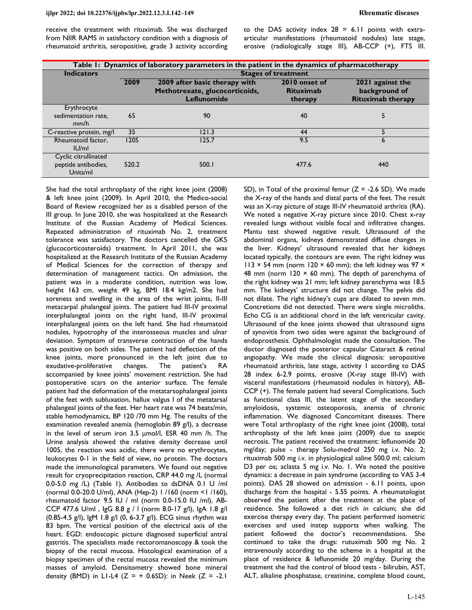receive the treatment with rituximab. She was discharged from NIIR RAMS in satisfactory condition with a diagnosis of rheumatoid arthritis, seropositive, grade 3 activity according to the DAS activity index  $28 = 6.11$  points with extraarticular manifestations (rheumatoid nodules) late stage, erosive (radiologically stage III), AB-CCP (+), FTS III.

| Table 1: Dynamics of laboratory parameters in the patient in the dynamics of pharmacotherapy |       |                                               |                             |                                           |  |
|----------------------------------------------------------------------------------------------|-------|-----------------------------------------------|-----------------------------|-------------------------------------------|--|
| <b>Indicators</b>                                                                            |       | <b>Stages of treatment</b>                    |                             |                                           |  |
|                                                                                              | 2009  | 2009 after basic therapy with                 | 2010 onset of               | 2021 against the                          |  |
|                                                                                              |       | Methotrexate, glucocorticoids,<br>Leflunomide | <b>Rituximab</b><br>therapy | background of<br><b>Rituximab therapy</b> |  |
| Erythrocyte                                                                                  |       |                                               |                             |                                           |  |
| sedimentation rate,                                                                          | 65    | 90                                            | 40                          | 5                                         |  |
| mm/h                                                                                         |       |                                               |                             |                                           |  |
| C-reactive protein, mg/l                                                                     | 35    | 121.3                                         | 44                          |                                           |  |
| Rheumatoid factor.                                                                           | 1205  | 125.7                                         | 9.5                         | 6                                         |  |
| U/m                                                                                          |       |                                               |                             |                                           |  |
| Cyclic citrullinated                                                                         |       |                                               |                             |                                           |  |
| peptide antibodies,                                                                          | 520.2 | 500.1                                         | 477.6                       | 440                                       |  |
| Units/ml                                                                                     |       |                                               |                             |                                           |  |

She had the total arthroplasty of the right knee joint (2008) & left knee joint (2009). In April 2010, the Medico-social Board of Review recognized her as a disabled person of the III group. In June 2010, she was hospitalized at the Research Institute of the Russian Academy of Medical Sciences. Repeated administration of rituximab No. 2, treatment tolerance was satisfactory. The doctors cancelled the GKS (glucocorticosteroids) treatment. In April 2011, she was hospitalized at the Research Institute of the Russian Academy of Medical Sciences for the correction of therapy and determination of management tactics. On admission, the patient was in a moderate condition, nutrition was low, height 163 cm, weight 49 kg, BMI 18.4 kg/m2. She had soreness and swelling in the area of the wrist joints, II-III metacarpal phalangeal joints. The patient had III-IV proximal interphalangeal joints on the right hand, III-IV proximal interphalangeal joints on the left hand. She had rheumatoid nodules, hypotrophy of the interosseous muscles and ulnar deviation. Symptom of transverse contraction of the hands was positive on both sides. The patient had deflection of the knee joints, more pronounced in the left joint due to exudative-proliferative changes. The patient's accompanied by knee joints' movement restriction. She had postoperative scars on the anterior surface. The female patient had the deformation of the metatarsophalangeal joints of the feet with subluxation, hallux valgus I of the metatarsal phalangeal joints of the feet. Her heart rate was 74 beats/min, stable hemodynamics, BP 120 /70 mm Hg. The results of the examination revealed anemia (hemoglobin 89 g/l), a decrease in the level of serum iron 3.5 μmol/l, ESR 40 mm /h. The Urine analysis showed the relative density decrease until 1005, the reaction was acidic, there were no erythrocytes, leukocytes 0-1 in the field of view, no protein. The doctors made the immunological parameters. We found out negative result for cryoprecipitation reaction, CRP 44.0 mg /L (normal 0.0-5.0 mg /L) (Table 1). Antibodies to dsDNA 0.1 U /ml (normal 0.0-20.0 U/ml), ANA (Hep-2) 1 /160 (norm <1 /160), rheumatoid factor 9.5 IU / ml (norm 0.0-15.0 IU /ml), AB-CCP 477.6 U/ml , IgG 8.8 g / l (norm 8.0-17 g/l), IgA 1.8 g/l (0.85-4.5 g/l), IgM 1.8 g/l (0, 6-3.7 g/l). ECG sinus rhythm was 83 bpm. The vertical position of the electrical axis of the heart. EGD: endoscopic picture diagnosed superficial antral gastritis. The specialists made rectoromanoscopy & took the biopsy of the rectal mucosa. Histological examination of a biopsy specimen of the rectal mucosa revealed the minimum masses of amyloid. Densitometry showed bone mineral density (BMD) in L1-L4 ( $Z = +0.6$ SD): in Neek ( $Z = -2.1$ 

SD), in Total of the proximal femur  $(Z = -2.6$  SD). We made the X-ray of the hands and distal parts of the feet. The result was an X-ray picture of stage III-IV rheumatoid arthritis (RA). We noted a negative X-ray picture since 2010. Chest x-ray revealed lungs without visible focal and infiltrative changes. Mantu test showed negative result. Ultrasound of the abdominal organs, kidneys demonstrated diffuse changes in the liver. Kidneys' ultrasound revealed that her kidneys located typically, the contours are even. The right kidney was 113  $\times$  54 mm (norm 120  $\times$  60 mm); the left kidney was 97  $\times$ 48 mm (norm  $120 \times 60$  mm). The depth of parenchyma of the right kidney was 21 mm; left kidney parenchyma was 18.5 mm. The kidneys' structure did not change. The pelvis did not dilate. The right kidney's cups are dilated to seven mm. Concretions did not detected. There were single microliths. Echo CG is an additional chord in the left ventricular cavity. Ultrasound of the knee joints showed that ultrasound signs of synovitis from two sides were against the background of endoprosthesis. Ophthalmologist made the consultation. The doctor diagnosed the posterior capsular Cataract & retinal angiopathy. We made the clinical diagnosis: seropositive rheumatoid arthritis, late stage, activity 1 according to DAS 28 index 6-2.9 points, erosive (X-ray stage III-IV) with visceral manifestations (rheumatoid nodules in history), AB-CCP (+). The female patient had several Complications. Such as functional class III, the latent stage of the secondary amyloidosis, systemic osteoporosis, anemia of chronic inflammation. We diagnosed Concomitant diseases. There were Total arthroplasty of the right knee joint (2008), total arthroplasty of the left knee joint (2009) due to aseptic necrosis. The patient received the treatment: leflunomide 20 mg/day; pulse - therapy Solu-medrol 250 mg i.v. No. 2; rituximab 500 mg i.v. in physiological saline 500.0 ml; calcium D3 per os; aclasta 5 mg i.v. No. 1. We noted the positive dynamics: a decrease in pain syndrome (according to VAS 3-4 points). DAS 28 showed on admission - 6.11 points, upon discharge from the hospital - 5.55 points. A rheumatologist observed the patient after the treatment at the place of residence. She followed a diet rich in calcium; she did exercise therapy every day. The patient performed isometric exercises and used instep supports when walking. The patient followed the doctor's recommendations. She continued to take the drugs: rutuximab 500 mg No. 2 intravenously according to the scheme in a hospital at the place of residence & leflunomide 20 mg/day. During the treatment she had the control of blood tests - bilirubin, AST, ALT, alkaline phosphatase, creatinine, complete blood count,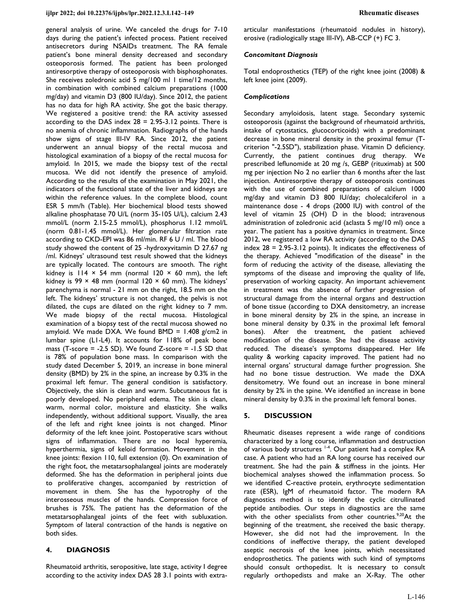general analysis of urine. We canceled the drugs for 7-10 days during the patient's infected process. Patient received antisecretors during NSAIDs treatment. The RA female patient's bone mineral density decreased and secondary osteoporosis formed. The patient has been prolonged antiresorptive therapy of osteoporosis with bisphosphonates. She receives zoledronic acid 5 mg/100 ml 1 time/12 months, in combination with combined calcium preparations (1000 mg/day) and vitamin D3 (800 IU/day). Since 2012, the patient has no data for high RA activity. She got the basic therapy. We registered a positive trend: the RA activity assessed according to the DAS index  $28 = 2.95 - 3.12$  points. There is no anemia of chronic inflammation. Radiographs of the hands show signs of stage III-IV RA. Since 2012, the patient underwent an annual biopsy of the rectal mucosa and histological examination of a biopsy of the rectal mucosa for amyloid. In 2015, we made the biopsy test of the rectal mucosa. We did not identify the presence of amyloid. According to the results of the examination in May 2021, the indicators of the functional state of the liver and kidneys are within the reference values. In the complete blood, count ESR 5 mm/h (Table). Her biochemical blood tests showed alkaline phosphatase 70 U/L (norm 35-105 U/L), calcium 2.43 mmol/L (norm 2.15-2.5 mmol/L), phosphorus 1.12 mmol/L (norm 0.81-1.45 mmol/L). Her glomerular filtration rate according to CKD-EPI was 86 ml/min. RF 6 U / ml. The blood study showed the content of 25 -hydroxyvitamin D 27.67 ng /ml. Kidneys' ultrasound test result showed that the kidneys are typically located. The contours are smooth. The right kidney is  $114 \times 54$  mm (normal  $120 \times 60$  mm), the left kidney is 99  $\times$  48 mm (normal 120  $\times$  60 mm). The kidneys' parenchyma is normal - 21 mm on the right, 18.5 mm on the left. The kidneys' structure is not changed, the pelvis is not dilated, the cups are dilated on the right kidney to 7 mm. We made biopsy of the rectal mucosa. Histological examination of a biopsy test of the rectal mucosa showed no amyloid. We made DXA. We found BMD =  $1.408$  g/cm2 in lumbar spine (L1-L4). It accounts for 118% of peak bone mass (T-score  $= -2.5$  SD). We found Z-score  $= -1.5$  SD that is 78% of population bone mass. In comparison with the study dated December 5, 2019, an increase in bone mineral density (BMD) by 2% in the spine, an increase by 0.3% in the proximal left femur. The general condition is satisfactory. Objectively, the skin is clean and warm. Subcutaneous fat is poorly developed. No peripheral edema. The skin is clean, warm, normal color, moisture and elasticity. She walks independently, without additional support. Visually, the area of the left and right knee joints is not changed. Minor deformity of the left knee joint. Postoperative scars without signs of inflammation. There are no local hyperemia, hyperthermia, signs of keloid formation. Movement in the knee joints: flexion 110, full extension (0). On examination of the right foot, the metatarsophalangeal joints are moderately deformed. She has the deformation in peripheral joints due to proliferative changes, accompanied by restriction of movement in them. She has the hypotrophy of the interosseous muscles of the hands. Compression force of brushes is 75%. The patient has the deformation of the metatarsophalangeal joints of the feet with subluxation. Symptom of lateral contraction of the hands is negative on both sides.

### **4. DIAGNOSIS**

Rheumatoid arthritis, seropositive, late stage, activity I degree according to the activity index DAS 28 3.1 points with extraarticular manifestations (rheumatoid nodules in history), erosive (radiologically stage III-IV), AB-CCP (+) FC 3.

### *Concomitant Diagnosis*

Total endoprosthetics (TEP) of the right knee joint (2008) & left knee joint (2009).

### *Complications*

Secondary amyloidosis, latent stage. Secondary systemic osteoporosis (against the background of rheumatoid arthritis, intake of cytostatics, glucocorticoids) with a predominant decrease in bone mineral density in the proximal femur (Tcriterion "-2.5SD"), stabilization phase. Vitamin D deficiency. Currently, the patient continues drug therapy. We prescribed leflunomide at 20 mg /s, GEBP (rituximab) at 500 mg per injection No 2 no earlier than 6 months after the last injection. Antiresorptive therapy of osteoporosis continues with the use of combined preparations of calcium 1000 mg/day and vitamin D3 800 IU/day; cholecalciferol in a maintenance dose - 4 drops (2000 IU) with control of the level of vitamin 25 (OH) D in the blood; intravenous administration of zoledronic acid (aclasta 5 mg/10 ml) once a year. The patient has a positive dynamics in treatment. Since 2012, we registered a low RA activity (according to the DAS index 28 = 2.95-3.12 points). It indicates the effectiveness of the therapy. Achieved "modification of the disease" in the form of reducing the activity of the disease, alleviating the symptoms of the disease and improving the quality of life, preservation of working capacity. An important achievement in treatment was the absence of further progression of structural damage from the internal organs and destruction of bone tissue (according to DXA densitometry, an increase in bone mineral density by 2% in the spine, an increase in bone mineral density by 0.3% in the proximal left femoral bones). After the treatment, the patient achieved modification of the disease. She had the disease activity reduced. The disease's symptoms disappeared. Her life quality & working capacity improved. The patient had no internal organs' structural damage further progression. She had no bone tissue destruction. We made the DXA densitometry. We found out an increase in bone mineral density by 2% in the spine. We identified an increase in bone mineral density by 0.3% in the proximal left femoral bones.

#### **5. DISCUSSION**

Rheumatic diseases represent a wide range of conditions characterized by a long course, inflammation and destruction of various body structures <sup>1-4</sup>. Our patient had a complex RA case. A patient who had an RA long course has received our treatment. She had the pain & stiffness in the joints. Her biochemical analyses showed the inflammation process. So we identified C-reactive protein, erythrocyte sedimentation rate (ESR), IgM of rheumatoid factor. The modern RA diagnostics method is to identify the cyclic citrullinated peptide antibodies. Our steps in diagnostics are the same with the other specialists from other countries. $9,20$ At the beginning of the treatment, she received the basic therapy. However, she did not had the improvement. In the conditions of ineffective therapy, the patient developed aseptic necrosis of the knee joints, which necessitated endoprosthetics. The patients with such kind of symptoms should consult orthopedist. It is necessary to consult regularly orthopedists and make an X-Ray. The other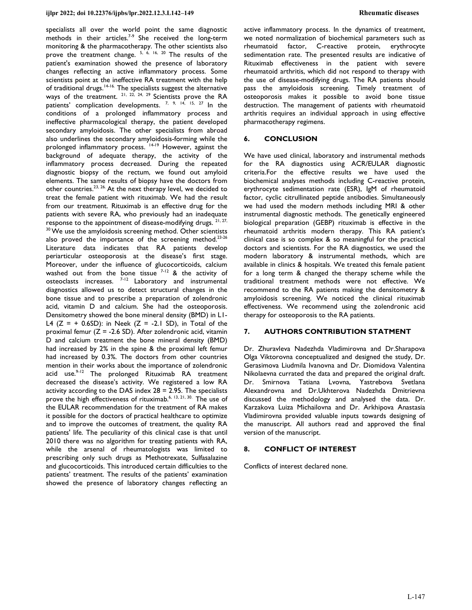specialists all over the world point the same diagnostic methods in their articles.<sup>7-9</sup> She received the long-term monitoring & the pharmacotherapy. The other scientists also prove the treatment change. <sup>5, 6, 16, 20</sup> The results of the patient's examination showed the presence of laboratory changes reflecting an active inflammatory process. Some scientists point at the ineffective RA treatment with the help of traditional drugs.<sup>14-16</sup> The specialists suggest the alternative ways of the treatment. <sup>21, 22, 24, 29</sup> Scientists prove the RA patients' complication developments. <sup>7, 9, 14, 15, 27</sup> In the conditions of a prolonged inflammatory process and ineffective pharmacological therapy, the patient developed secondary amyloidosis. The other specialists from abroad also underlines the secondary amyloidosis-forming while the prolonged inflammatory process. <sup>14-19</sup> However, against the background of adequate therapy, the activity of the inflammatory process decreased. During the repeated diagnostic biopsy of the rectum, we found out amyloid elements. The same results of biopsy have the doctors from other countries.<sup>23, 26.</sup> At the next therapy level, we decided to treat the female patient with rituximab. We had the result from our treatment. Rituximab is an effective drug for the patients with severe RA, who previously had an inadequate response to the appointment of disease-modifying drugs.  $21, 27, 27$ <sup>30</sup> We use the amyloidosis screening method. Other scientists also proved the importance of the screening method. $23-26$ Literature data indicates that RA patients develop periarticular osteoporosis at the disease's first stage. Moreover, under the influence of glucocorticoids, calcium washed out from the bone tissue  $7-12$  & the activity of osteoclasts increases. <sup>7-12</sup> Laboratory and instrumental diagnostics allowed us to detect structural changes in the bone tissue and to prescribe a preparation of zolendronic acid, vitamin D and calcium. She had the osteoporosis. Densitometry showed the bone mineral density (BMD) in L1- L4 ( $Z = +0.6$ SD): in Neek ( $Z = -2.1$  SD), in Total of the proximal femur  $(Z = -2.6$  SD). After zolendronic acid, vitamin D and calcium treatment the bone mineral density (BMD) had increased by 2% in the spine & the proximal left femur had increased by 0.3%. The doctors from other countries mention in their works about the importance of zolendronic acid use. $9-12$  The prolonged Rituximab RA treatment decreased the disease's activity. We registered a low RA activity according to the DAS index  $28 = 2.95$ . The specialists prove the high effectiveness of rituximab.<sup>6, 13, 21, 30.</sup> The use of the EULAR recommendation for the treatment of RA makes it possible for the doctors of practical healthcare to optimize and to improve the outcomes of treatment, the quality RA patients' life. The peculiarity of this clinical case is that until 2010 there was no algorithm for treating patients with RA, while the arsenal of rheumatologists was limited to prescribing only such drugs as Methotrexate, Sulfasalazine and glucocorticoids. This introduced certain difficulties to the patients' treatment. The results of the patients' examination showed the presence of laboratory changes reflecting an

active inflammatory process. In the dynamics of treatment, we noted normalization of biochemical parameters such as rheumatoid factor, C-reactive protein, erythrocyte sedimentation rate. The presented results are indicative of Rituximab effectiveness in the patient with severe rheumatoid arthritis, which did not respond to therapy with the use of disease-modifying drugs. The RA patients should pass the amyloidosis screening. Timely treatment of osteoporosis makes it possible to avoid bone tissue destruction. The management of patients with rheumatoid arthritis requires an individual approach in using effective pharmacotherapy regimens.

## **6. CONCLUSION**

We have used clinical, laboratory and instrumental methods for the RA diagnostics using ACR/EULAR diagnostic criteria.For the effective results we have used the biochemical analyses methods including C-reactive protein, erythrocyte sedimentation rate (ESR), IgM of rheumatoid factor, cyclic citrullinated peptide antibodies. Simultaneously we had used the modern methods including MRI & other instrumental diagnostic methods. The genetically engineered biological preparation (GEBP) rituximab is effective in the rheumatoid arthritis modern therapy. This RA patient's clinical case is so complex & so meaningful for the practical doctors and scientists. For the RA diagnostics, we used the modern laboratory & instrumental methods, which are available in clinics & hospitals. We treated this female patient for a long term & changed the therapy scheme while the traditional treatment methods were not effective. We recommend to the RA patients making the densitometry & amyloidosis screening. We noticed the clinical rituximab effectiveness. We recommend using the zolendronic acid therapy for osteoporosis to the RA patients.

### **7. AUTHORS CONTRIBUTION STATMENT**

Dr. Zhuravleva Nadezhda Vladimirovna and Dr.Sharapova Olga Viktorovna conceptualized and designed the study, Dr. Gerasimova Liudmila Ivanovna and Dr. Diomidova Valentina Nikolaevna currated the data and prepared the original draft. Dr. Smirnova Tatiana Lvovna, Yastrebova Svetlana Alexandrovna and Dr.Ukhterova Nadezhda Dmitrievna discussed the methodology and analysed the data. Dr. Karzakova Luiza Michailovna and Dr. Arkhipova Anastasia Vladimirovna provided valuable inputs towards designing of the manuscript. All authors read and approved the final version of the manuscript.

# **8. CONFLICT OF INTEREST**

Conflicts of interest declared none.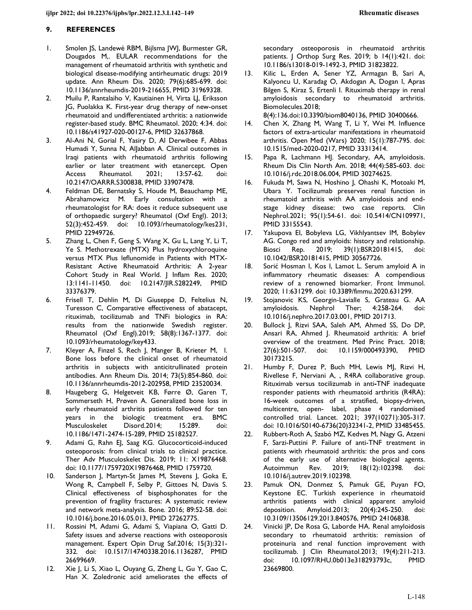### **9. REFERENCES**

- 1. Smolen JS, Landewé RBM, Bijlsma JWJ, Burmester GR, Dougados M,. EULAR recommendations for the management of rheumatoid arthritis with synthetic and biological disease-modifying antirheumatic drugs: 2019 update. Ann Rheum Dis. 2020; 79(6):685-699. doi: 10.1136/annrheumdis-2019-216655, PMID 31969328.
- 2. Muilu P, Rantalaiho V, Kautiainen H, Virta LJ, Eriksson JG, Puolakka K. First-year drug therapy of new-onset rheumatoid and undifferentiated arthritis: a nationwide register-based study. BMC Rheumatol. 2020; 4:34. doi: 10.1186/s41927-020-00127-6, PMID 32637868.
- 3. Al-Ani N, Gorial F, Yasiry D, Al Derwibee F, Abbas Humadi Y, Sunna N, AlJabban A. Clinical outcomes in Iraqi patients with rheumatoid arthritis following earlier or later treatment with etanercept. Open Access Rheumatol. 2021; 13:57-62. doi: 10.2147/OARRR.S300838, PMID 33907478.
- 4. Feldman DE, Bernatsky S, Houde M, Beauchamp ME, Abrahamowicz M. Early consultation with a rheumatologist for RA: does it reduce subsequent use of orthopaedic surgery? Rheumatol (Oxf Engl). 2013; 52(3):452-459. doi: 10.1093/rheumatology/kes231, PMID 22949726.
- 5. Zhang L, Chen F, Geng S, Wang X, Gu L, Lang Y, Li T, Ye S. Methotrexate (MTX) Plus hydroxychloroquine versus MTX Plus leflunomide in Patients with MTX-Resistant Active Rheumatoid Arthritis: A 2-year Cohort Study in Real World. J Inflam Res. 2020; 13:1141-11450. doi: 10.2147/JIR.S282249, PMID 33376379.
- 6. Frisell T, Dehlin M, Di Giuseppe D, Feltelius N, Turesson C, Comparative effectiveness of abatacept, rituximab, tocilizumab and TNFi biologics in RA: results from the nationwide Swedish register. Rheumatol (Oxf Engl).2019; 58(8):1367-1377. doi: 10.1093/rheumatology/key433.
- 7. Kleyer A, Finzel S, Rech J, Manger B, Krieter M, l. Bone loss before the clinical onset of rheumatoid arthritis in subjects with anticitrullinated protein antibodies. Ann Rheum Dis. 2014; 73(5):854-860. doi: 10.1136/annrheumdis-2012-202958, PMID 23520034.
- 8. Haugeberg G, Helgetveit KB, Førre Ø, Garen T, Sommerseth H, Prøven A. Generalized bone loss in early rheumatoid arthritis patients followed for ten years in the biologic treatment era. BMC Musculoskelet Disord.2014; 15:289. doi: 10.1186/1471-2474-15-289, PMID 25182527.
- 9. Adami G, Rahn EJ, Saag KG. Glucocorticoid-induced osteoporosis: from clinical trials to clinical practice. Ther Adv Musculoskelet Dis. 2019; 11: X19876468. doi: 10.1177/1759720X19876468, PMID 1759720.
- 10. Sanderson J, Martyn-St James M, Stevens J, Goka E, Wong R, Campbell F, Selby P, Gittoes N, Davis S. Clinical effectiveness of bisphosphonates for the prevention of fragility fractures: A systematic review and network meta-analysis. Bone. 2016; 89:52-58. doi: 10.1016/j.bone.2016.05.013, PMID 27262775.
- 11. Rossini M, Adami G, Adami S, Viapiana O, Gatti D. Safety issues and adverse reactions with osteoporosis management. Expert Opin Drug Saf.2016; 15(3):321- 332. doi: 10.1517/14740338.2016.1136287, PMID 26699669.
- 12. Xie J, Li S, Xiao L, Ouyang G, Zheng L, Gu Y, Gao C, Han X. Zoledronic acid ameliorates the effects of

secondary osteoporosis in rheumatoid arthritis patients. J Orthop Surg Res. 2019; b 14(1):421. doi: 10.1186/s13018-019-1492-3, PMID 31823822.

13. Kilic L, Erden A, Sener YZ, Armagan B, Sari A, Kalyoncu U, Karadag O, Akdogan A, Dogan I, Apras Bilgen S, Kiraz S, Ertenli I. Rituximab therapy in renal amyloidosis secondary to rheumatoid arthritis. Biomolecules.2018;

8(4):136.doi:10.3390/biom8040136, PMID 30400666.

- 14. Chen X, Zhang M, Wang T, Li Y, Wei M. Influence factors of extra-articular manifestations in rheumatoid arthritis. Open Med (Wars) 2020; 15(1):787-795. doi: 10.1515/med-2020-0217, PMID 33313414.
- 15. Papa R, Lachmann HJ. Secondary, AA, amyloidosis. Rheum Dis Clin North Am. 2018; 44(4):585-603. doi: 10.1016/j.rdc.2018.06.004, PMID 30274625.
- 16. Fukuda M, Sawa N, Hoshino J, Ohashi K, Motoaki M, Ubara Y. Tocilizumab preserves renal function in rheumatoid arthritis with AA amyloidosis and endstage kidney disease: two case reports. Clin Nephrol.2021; 95(1):54-61. doi: 10.5414/CN109971, PMID 33155543.
- 17. Yakupova EI, Bobyleva LG, Vikhlyantsev IM, Bobylev AG. Congo red and amyloids: history and relationship. Biosci Rep. 2019; 39(1):BSR20181415, doi: 10.1042/BSR20181415, PMID 30567726.
- 18. Sorić Hosman I, Kos I, Lamot L. Serum amyloid A in inflammatory rheumatic diseases: A compendious review of a renowned biomarker. Front Immunol. 2020; 11:631299. doi: 10.3389/fimmu.2020.631299.
- 19. Stojanovic KS, Georgin-Lavialle S, Grateau G. AA amyloidosis. Nephrol Ther; 4:258-264. doi: 10.1016/j.nephro.2017.03.001, PMID 201713.
- 20. Bullock J, Rizvi SAA, Saleh AM, Ahmed SS, Do DP, Ansari RA, Ahmed J. Rheumatoid arthritis: A brief overview of the treatment. Med Princ Pract. 2018; 27(6):501-507. doi: 10.1159/000493390, PMID 30173215.
- 21. Humby F, Durez P, Buch MH, Lewis MJ, Rizvi H, Rivellese F, Nerviani A, , R4RA collaborative group. Rituximab versus tocilizumab in anti**-**TNF inadequate responder patients with rheumatoid arthritis (R4RA): 16-week outcomes of a stratified, biopsy-driven, multicentre, open- label, phase 4 randomised controlled trial. Lancet. 2021; 397(10271):305-317. doi: 10.1016/S0140-6736(20)32341-2, PMID 33485455.
- 22. Rubbert-Roth A, Szabó MZ, Kedves M, Nagy G, Atzeni F, Sarzi-Puttini P. Failure of anti-TNF treatment in patients with rheumatoid arthritis: the pros and cons of the early use of alternative biological agents. Autoimmun Rev. 2019; 18(12):102398. doi: 10.1016/j.autrev.2019.102398.
- 23. Pamuk ON, Donmez S, Pamuk GE, Puyan FO, Keystone EC. Turkish experience in rheumatoid arthritis patients with clinical apparent amyloid deposition. Amyloid.2013; 20(4):245-250. doi: 10.3109/13506129.2013.840576, PMID 24106838.
- 24. Vinicki JP, De Rosa G, Laborde HA. Renal amyloidosis secondary to rheumatoid arthritis: remission of proteinuria and renal function improvement with tocilizumab. J Clin Rheumatol.2013; 19(4):211-213. doi: 10.1097/RHU.0b013e318293793c, PMID 23669800.